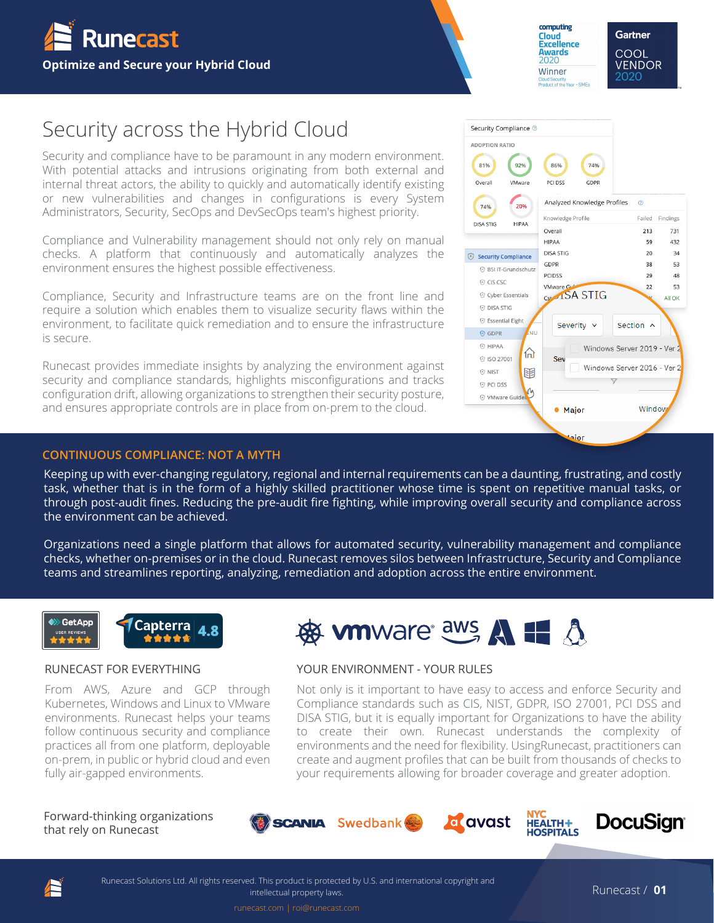

computing **Cloud<br>Excellence Awards** 2020 Winner

ar - SMFs

74%

GDPR Analyzed Knowledge Profiles

Product of the

86%

PCI DSS

Overal

**HIPAA** 

GDPR

**PCIDSS** 

.<br>NU

份

匪

VMware (

Sev

• Maior

aior

Cst 1SA STIG

Severity  $\vee$ 

**DISA STIG** 

Knowledge Profile

Security Compliance @ **ADOPTION RATIO** 81%

Overall

74%

**DISA STIG** 

 $\widehat{\otimes}$  Security Compliance

CIS CSC

**O DISA STIG** ⊙ Essential Eight

**⊙ GDPR**  $\circ$  HIPAA

**O NIST** 

⊙ PCI DSS VMware Guide

**⊙ ISO 27001** 

<sup>(2)</sup> BSI IT-Grundschutz

© Cyber Essentials

92%

VMware

20%

HIPAA

**Gartner** COOL **VENDOR** 2020

 $\circ$ 

Failed Findings

731

 $432$ 

34

53

48

53

All OK

213

 $59$ 

20

38

29

22

Window

Section ^

Windows Server 2019 - Ver

Windows Server 2016 - Ver

# Security across the Hybrid Cloud

Security and compliance have to be paramount in any modern environment. With potential attacks and intrusions originating from both external and internal threat actors, the ability to quickly and automatically identify existing or new vulnerabilities and changes in configurations is every System Administrators, Security, SecOps and DevSecOps team's highest priority.

Compliance and Vulnerability management should not only rely on manual checks. A platform that continuously and automatically analyzes the environment ensures the highest possible effectiveness.

Compliance, Security and Infrastructure teams are on the front line and require a solution which enables them to visualize security flaws within the environment, to facilitate quick remediation and to ensure the infrastructure is secure.

Runecast provides immediate insights by analyzing the environment against security and compliance standards, highlights misconfigurations and tracks configuration drift, allowing organizations to strengthen their security posture, and ensures appropriate controls are in place from on-prem to the cloud.

#### **CONTINUOUS COMPLIANCE: NOT A MYTH**

Keeping up with ever-changing regulatory, regional and internal requirements can be a daunting, frustrating, and costly task, whether that is in the form of a highly skilled practitioner whose time is spent on repetitive manual tasks, or through post-audit fines. Reducing the pre-audit fire fighting, while improving overall security and compliance across the environment can be achieved.

checks, whether on-premises or in the cloud. Runecast removes silos between Infrastructure, Security and Compliance Organizations need a single platform that allows for automated security, vulnerability management and compliance teams and streamlines reporting, analyzing, remediation and adoption across the entire environment.



#### RUNECAST FOR EVERYTHING

From AWS, Azure and GCP through Kubernetes, Windows and Linux to VMware environments. Runecast helps your teams follow continuous security and compliance practices all from one platform, deployable on-prem, in public or hybrid cloud and even fully air-gapped environments.



#### YOUR ENVIRONMENT - YOUR RULES

Not only is it important to have easy to access and enforce Security and Compliance standards such as CIS, NIST, GDPR, ISO 27001, PCI DSS and DISA STIG, but it is equally important for Organizations to have the ability to create their own. Runecast understands the complexity of environments and the need for flexibility. UsingRunecast, practitioners can create and augment profiles that can be built from thousands of checks to your requirements allowing for broader coverage and greater adoption.

that rely on Runecast Forward-thinking organizations







runecast.com | roi@runecast.com